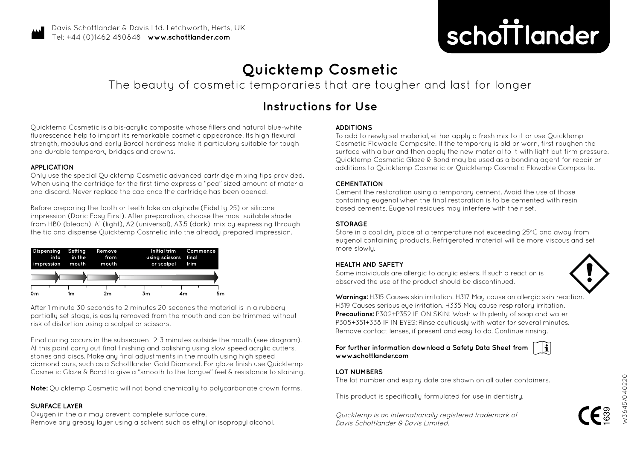

## **Quicktemp Cosmetic**

The beauty of cosmetic temporaries that are tougher and last for longer

### **Instructions for Use**

Quicktemp Cosmetic is a bis-acrylic composite whose fillers and natural blue-white fluorescence help to impart its remarkable cosmetic appearance. Its high flexural strength, modulus and early Barcol hardness make it particulary suitable for tough and durable temporary bridges and crowns.

#### **APPLICATION**

Only use the special Quicktemp Cosmetic advanced cartridge mixing tips provided. When using the cartridge for the first time express a "pea" sized amount of material and discard. Never replace the cap once the cartridge has been opened.

Before preparing the tooth or teeth take an alginate (Fidelity 25) or silicone impression (Doric Easy First). After preparation, choose the most suitable shade from HB0 (bleach), A1 (light), A2 (universal), A3.5 (dark), mix by expressing through the tip and dispense Quicktemp Cosmetic into the already prepared impression.



After 1 minute 30 seconds to 2 minutes 20 seconds the material is in a rubbery partially set stage, is easily removed from the mouth and can be trimmed without risk of distortion using a scalpel or scissors.

Final curing occurs in the subsequent 2-3 minutes outside the mouth (see diagram). At this point carry out final finishing and polishing using slow speed acrylic cutters, stones and discs. Make any final adjustments in the mouth using high speed diamond burs, such as a Schottlander Gold Diamond. For glaze finish use Quicktemp Cosmetic Glaze & Bond to give a "smooth to the tongue" feel & resistance to staining.

**Note:** Quicktemp Cosmetic will not bond chemically to polycarbonate crown forms.

#### **SURFACE LAYER**

Oxygen in the air may prevent complete surface cure. Remove any greasy layer using a solvent such as ethyl or isopropyl alcohol.

#### **ADDITIONS**

To add to newly set material, either apply a fresh mix to it or use Quicktemp Cosmetic Flowable Composite. If the temporary is old or worn, first roughen the surface with a bur and then apply the new material to it with light but firm pressure. Quicktemp Cosmetic Glaze & Bond may be used as a bonding agent for repair or additions to Quicktemp Cosmetic or Quicktemp Cosmetic Flowable Composite.

#### **CEMENTATION**

Cement the restoration using a temporary cement. Avoid the use of those containing eugenol when the final restoration is to be cemented with resin based cements. Eugenol residues may interfere with their set.

#### **STORAGE**

Store in a cool dry place at a temperature not exceeding 25°C and away from eugenol containing products. Refrigerated material will be more viscous and set more slowly.

#### **HEALTH AND SAFETY**

Some individuals are allergic to acrylic esters. If such a reaction is observed the use of the product should be discontinued.



**Warnings:** H315 Causes skin irritation. H317 May cause an allergic skin reaction. H319 Causes serious eye irritation. H335 May cause respiratory irritation. **Precautions: P302+P352 IF ON SKIN: Wash with plenty of soap and water** P305+351+338 IF IN EYES: Rinse cautiously with water for several minutes. Remove contact lenses, if present and easy to do. Continue rinsing.

**For further information download a Safety Data Sheet from www.schottlander.com**



#### **LOT NUMBERS**

The lot number and expiry date are shown on all outer containers.

This product is specifically formulated for use in dentistry.

Quicktemp is an internationally registered trademark of Davis Schottlander & Davis Limited.